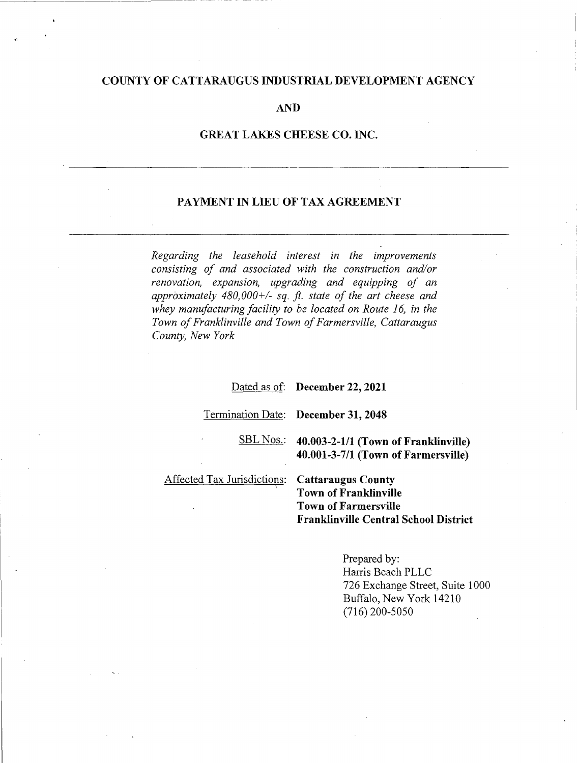## COUNTY OF CATTARAUGUS INDUSTRIAL DEVELOPMENT AGENCY

#### AND

### GREAT LAKES CHEESE CO. INC.

### PAYMENT IN LIEU OF TAX AGREEMENT

Regarding the leasehold interest in the improvements consisting of and associated with the construction and/or renovation, expansion, upgrading and equipping of an approximately  $480,000+\right.$  sq. ft. state of the art cheese and whey manufacturing facility to be located on Route 16, in the Town of Franklinville and Town of Farmersville, Cattaraugus County, New York

#### Dated as of: December 22, 2021

Termination Date: December 31, 2048

SBL Nos.: 40.003-2-1/1 (Town of Franklinville) 40.001-3-7/1 (Town of Farmersville)

Affected Tax Jurisdictions:

Cattaraugus County Town of Franklinville Town of Farmersville Franklinville Central School District

> Prepared by: Harris Beach PLLC 726 Exchange Street, Suite 1000 Buffalo, New York 14210 (716) 200-5050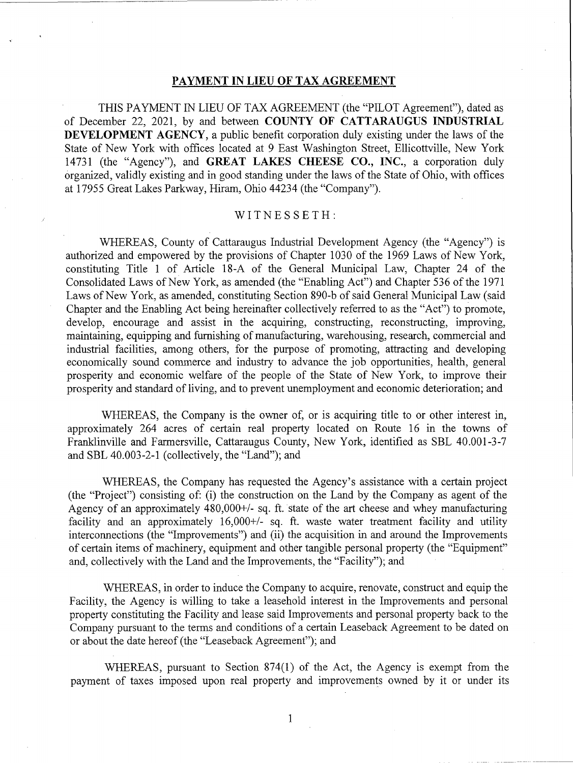## PAYMENT IN LIEU OF TAX AGREEMENT

THIS PAYMENT IN LIEU OF TAX AGREEMENT (the "PILOT Agreement"), dated as of December 22, 2021, by and between COUNTY OF CATTARAUGUS INDUSTRIAL DEVELOPMENT AGENCY, a public benefit corporation duly existing under the laws of the State of New York with offices located at 9 East Washington Street, Ellicottville, New York 14731 (the "Agency"), and GREAT LAKES CHEESE CO., INC., a corporation duly organized, validly existing and in good standing under the laws of the State of Ohio, with offices at 17955 Great Lakes Parkway, Hiram, Ohio 44234 (the "Company").

### WITNESSETH:

WHEREAS, County of Cattaraugus Industrial Development Agency (the "Agency") is authorized and empowered by the provisions of Chapter 1030 of the 1969 Laws of New York, constituting Title 1 of Article 18-A of the General Municipal Law, Chapter 24 of the Consolidated Laws of New York, as amended (the "Enabling Act") and Chapter 536 of the 1971 Laws of New York, as amended, constituting Section 890-b of said General Municipal Law (said Chapter and the Enabling Act being hereinafter collectively referred to as the "Act") to promote, develop, encourage and assist in the acquiring, constructing, reconstructing, improving, maintaining, equipping and furnishing of manufacturing, warehousing, research, commercial and industrial facilities, among others, for the purpose of promoting, attracting and developing economically sound commerce and industry to advance the job opportunities, health, general prosperity and economic welfare of the people of the State of New York, to improve their prosperity and standard of living, and to prevent unemployment and economic deterioration; and

WHEREAS, the Company is the owner of, or is acquiring title to or other interest in, approximately 264 acres of certain real property located on Route 16 in the towns of Franklinville and Farmersville, Cattaraugus County, New York, identified as SBL 40.001-3-7 and SBL 40.003-2-1 (collectively, the "Land"); and

WHEREAS, the Company has requested the Agency's assistance with a certain project (the "Project") consisting of: (i) the construction on the Land by the Company as agent of the Agency of an approximately 480,000+/- sq. ft. state of the art cheese and whey manufacturing facility and an approximately 16,000+/- sq. ft. waste water treatment facility and utility interconnections (the "Improvements") and (ii) the acquisition in and around the Improvements of certain items of machinery, equipment and other tangible personal property (the "Equipment" and, collectively with the Land and the Improvements, the "Facility"); and

WHEREAS, in order to induce the Company to acquire, renovate, construct and equip the Facility, the Agency is willing to take a leasehold interest in the Improvements and personal property constituting the Facility and lease said Improvements and personal property back to the Company pursuant to the terms and conditions of a certain Leaseback Agreement to be dated on or about the date hereof (the "Leaseback Agreement"); and

WHEREAS, pursuant to Section 874(1) of the Act, the Agency is exempt from the payment of taxes imposed upon real property and improvements owned by it or under its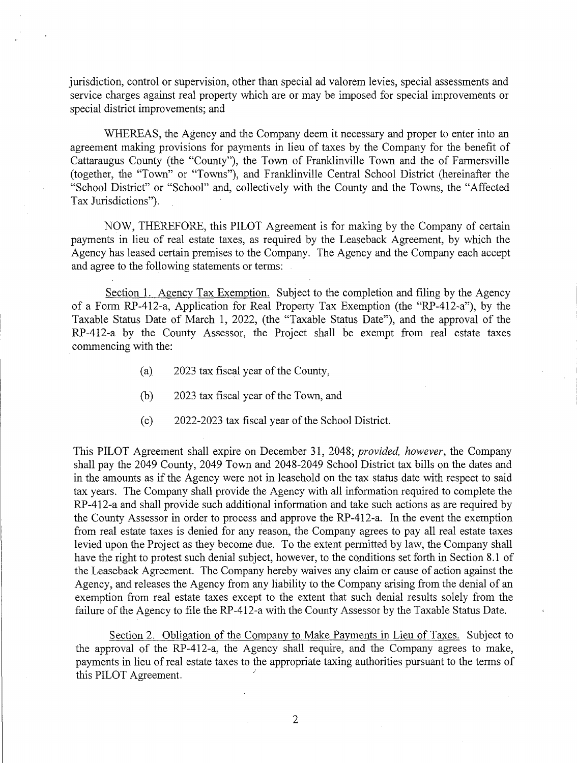jurisdiction, control or supervision, other than special ad valorem levies, special assessments and service charges against real property which are or may be imposed for special improvements or special district improvements; and

WHEREAS, the Agency and the Company deem it necessary and proper to enter into an agreement making provisions for payments in lieu of taxes by the Company for the benefit of Cattaraugus County (the "County"), the Town of Franklinville Town and the of Farmersville (together, the "Town" or "Towns"), and Franklinville Central School District (hereinafter the "School District" or "School" and, collectively with the County and the Towns, the "Affected Tax Jurisdictions").

NOW, THEREFORE, this PILOT Agreement is for making by the Company of certain payments in lieu of real estate taxes, as required by the Leaseback Agreement, by which the Agency has leased certain premises to the Company. The Agency and the Company each accept and agree to the following statements or terms:

Section 1. Agency Tax Exemption. Subject to the completion and filing by the Agency of a Form RP-412-a, Application for Real Property Tax Exemption (the "RP-412-a"), by the Taxable Status Date of March 1, 2022, (the "Taxable Status Date"), and the approval of the RP-412-a by the County Assessor, the Project shall be exempt from real estate taxes commencing with the:

- (a) 2023 tax fiscal year of the County,
- (b) 2023 tax fiscal year of the Town, and
- (c) 2022-2023 tax fiscal year of the School District.

This PILOT Agreement shall expire on December 31, 2048; provided, however, the Company shall pay the 2049 County, 2049 Town and 2048-2049 School District tax bills on the dates and in the amounts as if the Agency were not in leasehold on the tax status date with respect to said tax years. The Company shall provide the Agency with all information required to complete the RP-412-a and shall provide such additional information and take such actions as are required by the County Assessor in order to process and approve the RP-412-a. In the event the exemption from real estate taxes is denied for any reason, the Company agrees to pay all real estate taxes levied upon the Project as they become due. To the extent permitted by law, the Company shall have the right to protest such denial subject, however, to the conditions set forth in Section 8.1 of the Leaseback Agreement. The Company hereby waives any claim or cause of action against the Agency, and releases the Agency from any liability to the Company arising from the denial of an exemption from real estate taxes except to the extent that such denial results solely from the failure of the Agency to file the RP-412-a with the County Assessor by the Taxable Status Date.

Section 2. Obligation of the Company to Make Payments in Lieu of Taxes. Subject to the approval of the RP-412-a, the Agency shall require, and the Company agrees to make, payments in lieu of real estate taxes to the appropriate taxing authorities pursuant to the terms of this PILOT Agreement.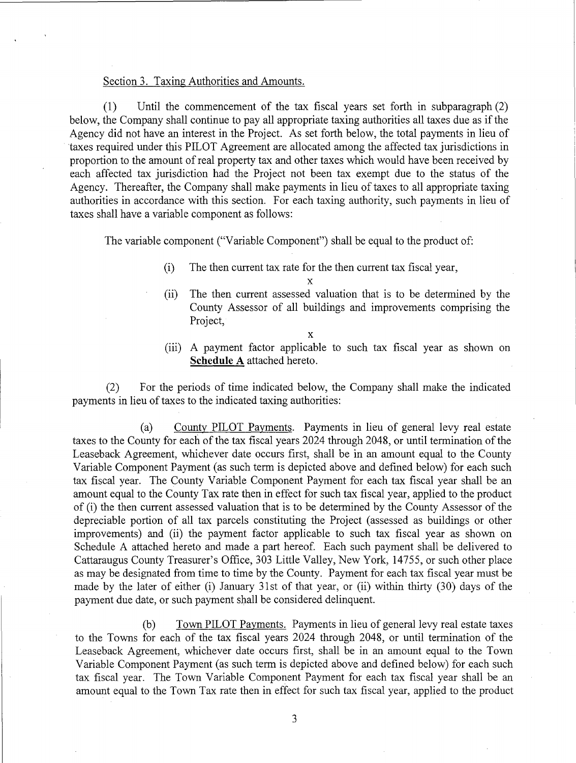### Section 3. Taxing Authorities and Amounts.

(1) Until the commencement of the tax fiscal years set forth in subparagraph (2) below, the Company shall continue to pay all appropriate taxing authorities all taxes due as if the Agency did not have an interest in the Project. As set forth below, the total payments in lieu of taxes required under this PILOT Agreement are allocated among the affected tax jurisdictions in proportion to the amount of real property tax and other taxes which would have been received by each affected tax jurisdiction had the Project not been tax exempt due to the status of the Agency. Thereafter, the Company shall make payments in lieu of taxes to all appropriate taxing authorities in accordance with this section. For each taxing authority, such payments in lieu of taxes shall have a variable component as follows:

The variable component ("Variable Component") shall be equal to the product of:

(i) The then current tax rate for the then current tax fiscal year,

x

(ii) The then current assessed valuation that is to be determined by the County Assessor of all buildings and improvements comprising the Project,

x

(iii) A payment factor applicable to such tax fiscal year as shown on Schedule A attached hereto.

(2) For the periods of time indicated below, the Company shall make the indicated payments in lieu of taxes to the indicated taxing authorities:

(a) County PILOT Payments. Payments in lieu of general levy real estate taxes to the County for each of the tax fiscal years 2024 through 2048, or until termination of the Leaseback Agreement, whichever date occurs first, shall be in an amount equal to the County Variable Component Payment (as such term is depicted above and defined below) for each such tax fiscal year. The County Variable Component Payment for each tax fiscal year shall be an amount equal to the County Tax rate then in effect for such tax fiscal year, applied to the product of (i) the then current assessed valuation that is to be determined by the County Assessor of the depreciable portion of all tax parcels constituting the Project (assessed as buildings or other improvements) and (ii) the payment factor applicable to such tax fiscal year as shown on Schedule A attached hereto and made a part hereof. Each such payment shall be delivered to Cattaraugus County Treasurer's Office, 303 Little Valley, New York, 14755, or such other place as may be designated from time to time by the County. Payment for each tax fiscal year must be made by the later of either (i) January 31st of that year, or (ii) within thirty (30) days of the payment due date, or such payment shall be considered delinquent.

(b) Town PILOT Payments. Payments in lieu of general levy real estate taxes to the Towns for each of the tax fiscal years 2024 through 2048, or until termination of the Leaseback Agreement, whichever date occurs first, shall be in an amount equal to the Town Variable Component Payment (as such term is depicted above and defined below) for each such tax fiscal year. The Town Variable Component Payment for each tax fiscal year shall be an amount equal to the Town Tax rate then in effect for such tax fiscal year, applied to the product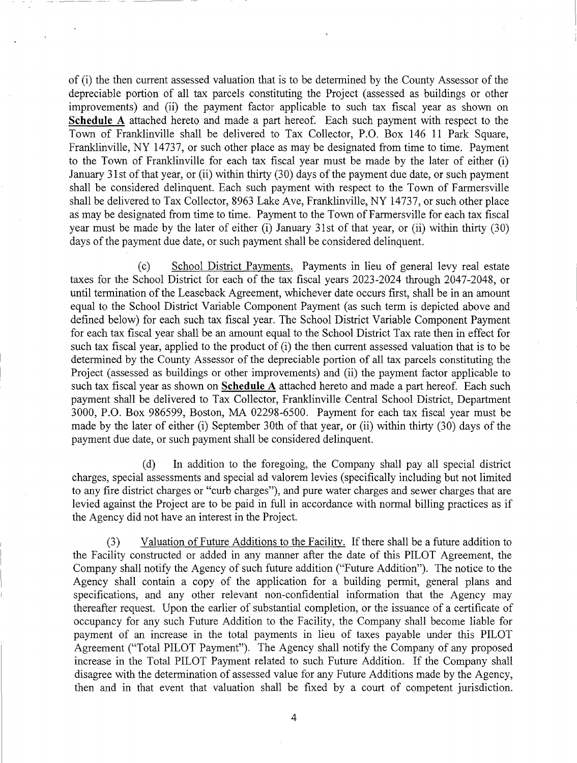of (i) the then current assessed valuation that is to be determined by the County Assessor of the depreciable portion of all tax parcels constituting the Project (assessed as buildings or other improvements) and (ii) the payment factor applicable to such tax fiscal year as shown on Schedule A attached hereto and made a part hereof. Each such payment with respect to the Town of Franklinville shall be delivered to Tax Collector, P.O. Box 146 11 Park Square, Franklinville, NY 14737, or such other place as may be designated from time to time. Payment to the Town of Franklinville for each tax fiscal year must be made by the later of either (i) January 31st of that year, or (ii) within thirty (30) days of the payment due date, or such payment shall be considered delinquent. Each such payment with respect to the Town of Farmersville shall be delivered to Tax Collector, 8963 Lake Ave, Franklinville, NY 14737, or such other place as may be designated from time to time. Payment to the Town of Farmersville for each tax fiscal year must be made by the later of either (i) January 31st of that year, or (ii) within thirty (30) days of the payment due date, or such payment shall be considered delinquent.

(c) School District Payments. Payments in lieu of general levy real estate taxes for the School District for each of the tax fiscal years 2023-2024 through 2047-2048, or until termination of the Leaseback Agreement, whichever date occurs first, shall be in an amount equal to the School District Variable Component Payment (as such term is depicted above and defined below) for each such tax fiscal year. The School District Variable Component Payment for each tax fiscal year shall be an amount equal to the School District. Tax rate then in effect for such tax fiscal year, applied to the product of (i) the then current assessed valuation that is to be determined by the County Assessor of the depreciable portion of all tax parcels constituting the Project (assessed as buildings or other improvements) and (ii) the payment factor applicable to such tax fiscal year as shown on Schedule A attached hereto and made a part hereof. Each such payment shall be delivered to Tax Collector, Franklinville Central School District, Department 3000, P.O. Box 986599, Boston, MA 02298-6500. Payment for each tax fiscal year must be made by the later of either (i) September 30th of that year, or (ii) within thirty (30) days of the payment due date, or such payment shall be considered delinquent.

(d) In addition to the foregoing, the Company shall pay all special district charges, special assessments and special ad valorem levies (specifically including but not limited to any fire district charges or "curb charges"), and pure water charges and sewer charges that are levied against the Project are to be paid in full in accordance with normal billing practices as if the Agency did not have an interest in the Project.

(3) Valuation of Future Additions to the Facility. If there shall be a future addition to the Facility constructed or added in any manner after the date of this PILOT Agreement, the Company shall notify the Agency of such future addition ("Future Addition"). The notice to the Agency shall contain a copy of the application for a building permit, general plans and specifications, and any other relevant non-confidential information that the Agency may thereafter request. Upon the earlier of substantial completion, or the issuance of a certificate of occupancy for any such Future Addition to the Facility, the Company shall become liable for payment of an increase in the total payments in lieu of taxes payable under this PILOT Agreement ("Total PILOT Payment"). The Agency shall notify the Company of any proposed increase in the Total PILOT Payment related to such Future Addition. If the Company shall disagree with the determination of assessed value for any Future Additions made by the Agency, then and in that event that valuation shall be fixed by a court of competent jurisdiction.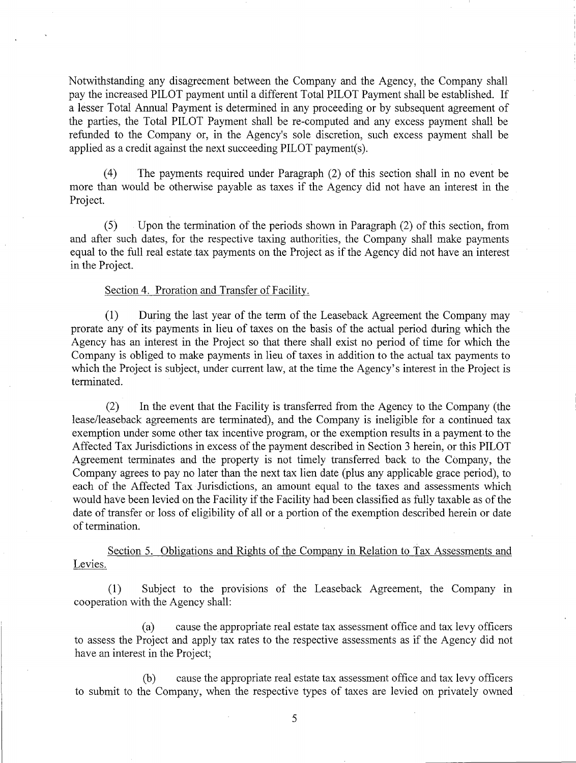Notwithstanding any disagreement between the Company and the Agency, the Company shall pay the increased PILOT payment until a different Total PILOT Payment shall be established. If a lesser Total Annual Payment is determined in any proceeding or by subsequent agreement of the parties, the Total PILOT Payment shall be re-computed and any excess payment shall be refunded to the Company or, in the Agency's sole discretion, such excess payment shall be applied as a credit against the next succeeding PILOT payment(s).

(4) The payments required under Paragraph (2) of this section shall in no event be more than would be otherwise payable as taxes if the Agency did not have an interest in the Project.

(5) Upon the termination of the periods shown in Paragraph (2) of this section, from and after such dates, for the respective taxing authorities, the Company shall make payments equal to the full real estate tax payments on the Project as if the Agency did not have an interest in the Project.

#### Section 4. Proration and Transfer of Facility.

(1) During the last year of the term of the Leaseback Agreement the Company may prorate any of its payments in lieu of taxes on the basis of the actual period during which the Agency has an interest in the Project so that there shall exist no period of time for which the Company is obliged to make payments in lieu of taxes in addition to the actual tax payments to which the Project is subject, under current law, at the time the Agency's interest in the Project is terminated.

(2) In the event that the Facility is transferred from the Agency to the Company (the lease/leaseback agreements are terminated), and the Company is ineligible for a continued tax exemption under some other tax incentive program, or the exemption results in a payment to the Affected Tax Jurisdictions in excess of the payment described in Section 3 herein, or this PILOT Agreement terminates and the property is not timely transferred back to the Company, the Company agrees to pay no later than the next tax lien date (plus any applicable grace period), to each of the Affected Tax Jurisdictions, an amount equal to the taxes and assessments which would have been levied on the Facility if the Facility had been classified as fully taxable as of the date of transfer or loss of eligibility of all or a portion of the exemption described herein or date of termination.

Section 5. Obligations and Rights of the Company in Relation to Tax Assessments and Levies.

(1) Subject to the provisions of the Leaseback Agreement, the Company in cooperation with the Agency shall:

(a) cause the appropriate real estate tax assessment office and tax levy officers to assess the Project and apply tax rates to the respective assessments as if the Agency did not have an interest in the Project;

(b) cause the appropriate real estate tax assessment office and tax levy officers to submit to the Company, when the respective types of taxes are levied on privately owned

5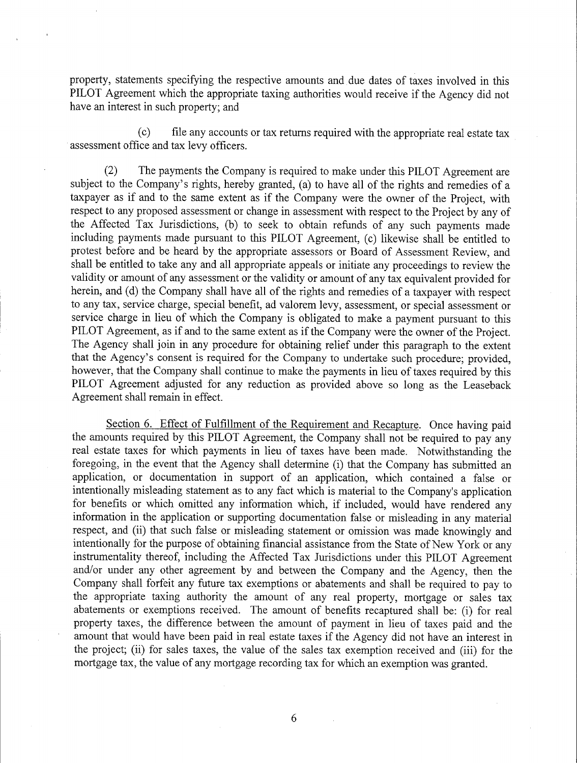property, statements specifying the respective amounts and due dates of taxes involved in this PILOT Agreement which the appropriate taxing authorities would receive if the Agency did not have an interest in such property; and

(c) file any accounts or tax returns required with the appropriate real estate tax assessment office and tax levy officers.

(2) The payments the Company is required to make under this PILOT Agreement are subject to the Company's rights, hereby granted, (a) to have all of the rights and remedies of a taxpayer as if and to the same extent as if the Company were the owner of the Project, with respect to any proposed assessment or change in assessment with respect to the Project by any of the Affected Tax Jurisdictions, (b) to seek to obtain refunds of any such payments made including payments made pursuant to this PILOT Agreement, (c) likewise shall be entitled to protest before and be heard by the appropriate assessors or Board of Assessment Review, and shall be entitled to take any and all appropriate appeals or initiate any proceedings to review the validity or amount of any assessment or the validity or amount of any tax equivalent provided for herein, and (d) the Company shall have all of the rights and remedies of a taxpayer with respect to any tax, service charge, special benefit, ad valorem levy, assessment, or special assessment or service charge in lieu of which the Company is obligated to make a payment pursuant to this PILOT Agreement, as if and to the same extent as if the Company were the owner of the Project. The Agency shall join in any procedure for obtaining relief under this paragraph to the extent that the Agency's consent is required for the Company to undertake such procedure; provided, however, that the Company shall continue to make the payments in lieu of taxes required by this PILOT Agreement adjusted for any reduction as provided above so long as the Leaseback Agreement shall remain in effect.

Section 6. Effect of Fulfillment of the Requirement and Recapture. Once having paid the amounts required by this PILOT Agreement, the Company shall not be required to pay any real estate taxes for which payments in lieu of taxes have been made. Notwithstanding the foregoing, in the event that the Agency shall determine (i) that the Company has submitted an application, or documentation in support of an application, which contained a false or intentionally misleading statement as to any fact which is material to the Company's application for benefits or which omitted any information which, if included, would have rendered any information in the application or supporting documentation false or misleading in any material respect, and (ii) that such false or misleading statement or omission was made knowingly and intentionally for the purpose of obtaining financial assistance from the State of New York or any instrumentality thereof, including the Affected Tax Jurisdictions under this PILOT Agreement and/or under any other agreement by and between the Company and the Agency, then the Company shall forfeit any future tax exemptions or abatements and shall be required to pay to the appropriate taxing authority the amount of any real property, mortgage or sales tax abatements or exemptions received. The amount of benefits recaptured shall be: (i) for real property taxes, the difference between the amount of payment in lieu of taxes paid and the amount that would have been paid in real estate taxes if the Agency did not have an interest in the project; (ii) for sales taxes, the value of the sales tax exemption received and (iii) for the mortgage tax, the value of any mortgage recording tax for which an exemption was granted.

6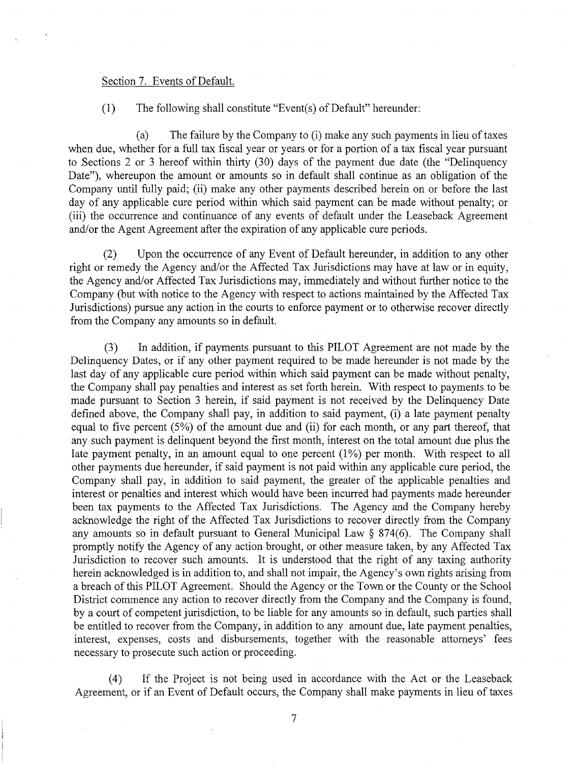#### Section 7. Events of Default.

## (1) The following shall constitute "Event(s) of Default" hereunder:

(a) The failure by the Company to (i) make any such payments in lieu of taxes when due, whether for a full tax fiscal year or years or for a portion of a tax fiscal year pursuant to Sections 2 or 3 hereof within thirty (30) days of the payment due date (the "Delinquency Date"), whereupon the amount or amounts so in default shall continue as an obligation of the Company until fully paid; (ii) make any other payments described herein on or before the last day of any applicable cure period within which said payment can be made without penalty; or (iii) the occurrence and continuance of any events of default under the Leaseback Agreement and/or the Agent Agreement after the expiration of any applicable cure periods.

(2) Upon the occurrence of any Event of Default hereunder, in addition to any other right or remedy the Agency and/or the Affected Tax Jurisdictions may have at law or in equity, the Agency and/or Affected Tax Jurisdictions may, immediately and without further notice to the Company (but with notice to the Agency with respect to actions maintained by the Affected Tax Jurisdictions) pursue any action in the courts to enforce payment or to otherwise recover directly from the Company any amounts so in default.

(3) In addition, if payments pursuant to this PILOT Agreement are not made by the Delinquency Dates, or if any other payment required to be made hereunder is not made by the last day of any applicable cure period within which said payment can be made without penalty, the Company shall pay penalties and interest as set forth herein. With respect to payments to be made pursuant to Section 3 herein, if said payment is not received by the Delinquency Date defined above, the Company shall pay, in addition to said payment, (i) a late payment penalty equal to five percent (5%) of the amount due and (ii) for each month, or any part thereof, that any such payment is delinquent beyond the first month, interest on the total amount due plus the late payment penalty, in an amount equal to one percent (1%) per month. With respect to all other payments due hereunder, if said payment is not paid within any applicable cure period, the Company shall pay, in addition to said payment, the greater of the applicable penalties and interest or penalties and interest which would have been incurred had payments made hereunder been tax payments to the Affected Tax Jurisdictions. The Agency and the Company hereby acknowledge the right of the Affected Tax Jurisdictions to recover directly from the Company any amounts so in default pursuant to General Municipal Law § 874(6). The Company shall promptly notify the Agency of any action brought, or other measure taken, by any Affected Tax Jurisdiction to recover such amounts. It is understood that the right of any taxing authority herein acknowledged is in addition to, and shall not impair, the Agency's own rights arising from a breach of this PILOT Agreement. Should the Agency or the Town or the County or the School District commence any action to recover directly from the Company and the Company is found, by a court of competent jurisdiction, to be liable for any amounts so in default, such parties shall be entitled to recover from the Company, in addition to any amount due, late payment penalties, interest, expenses, costs and disbursements, together with the reasonable attorneys' fees necessary to prosecute such action or proceeding.

(4) If the Project is not being used in accordance with the Act or the Leaseback Agreement, or if an Event of Default occurs, the Company shall make payments in lieu of taxes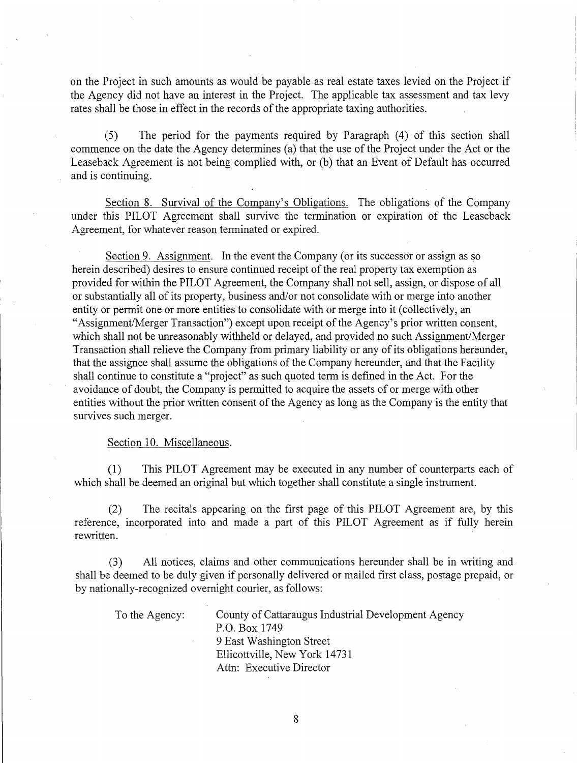on the Project in such amounts as would be payable as real estate taxes levied on the Project if the Agency did not have an interest in the Project. The applicable tax assessment and tax levy rates shall be those in effect in the records of the appropriate taxing authorities.

(5) The period for the payments required by Paragraph (4) of this section shall commence on the date the Agency determines (a) that the use of the Project under the Act or the Leaseback Agreement is not being complied with, or (b) that an Event of Default has occurred and is continuing.

Section 8. Survival of the Company's Obligations. The obligations of the Company under this PILOT Agreement shall survive the termination or expiration of the Leaseback Agreement, for whatever reason terminated or expired.

Section 9. Assignment. In the event the Company (or its successor or assign as so herein described) desires to ensure continued receipt of the real property tax exemption as provided for within the PILOT Agreement, the Company shall not sell, assign, or dispose of all or substantially all of its property, business and/or not consolidate with or merge into another entity or permit one or more entities to consolidate with or merge into it (collectively, an "Assignment/Merger Transaction") except upon receipt of the Agency's prior written consent, which shall not be unreasonably withheld or delayed, and provided no such Assignment/Merger Transaction shall relieve the Company from primary liability or any of its obligations hereunder, that the assignee shall assume the obligations of the Company hereunder, and that the Facility shall continue to constitute a "project" as such quoted term is defined in the Act. For the avoidance of doubt, the Company is permitted to acquire the assets of or merge with other entities without the prior written consent of the Agency as long as the Company is the entity that survives such merger.

#### Section 10. Miscellaneous.

(1) This PILOT Agreement may be executed in any number of counterparts each of which shall be deemed an original but which together shall constitute a single instrument.

(2) The recitals appearing on the first page of this PILOT Agreement are, by this reference, incorporated into and made a part of this PILOT Agreement as if fully herein rewritten.

(3) All notices, claims and other communications hereunder shall be in writing and shall be deemed to be duly given if personally delivered or mailed first class, postage prepaid, or by nationally-recognized overnight courier, as follows:

| To the Agency: | County of Cattaraugus Industrial Development Agency |
|----------------|-----------------------------------------------------|
|                | P.O. Box 1749                                       |
|                | 9 East Washington Street                            |
|                | Ellicottville, New York 14731                       |
|                | Attn: Executive Director                            |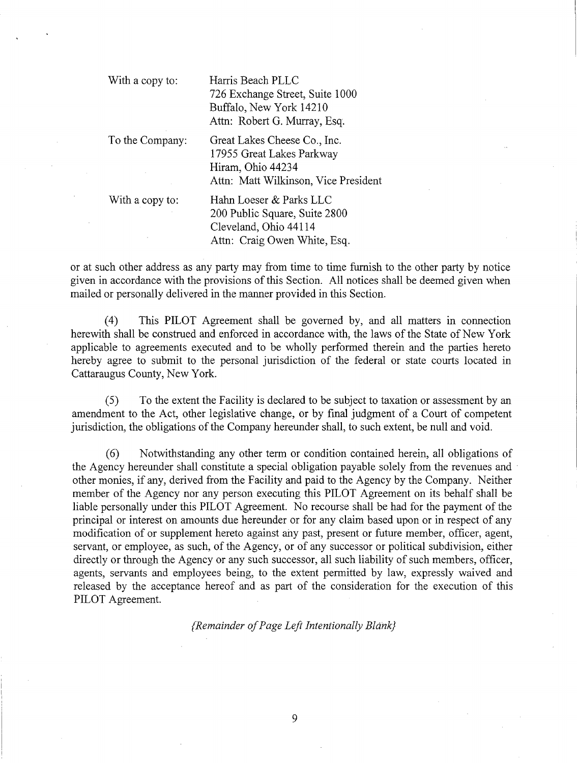With a copy to: Harris Beach PLLC 726 Exchange Street, Suite 1000 Buffalo, New York 14210 Attn: Robert G. Murray, Esq.

To the Company: Great Lakes Cheese Co., Inc. 17955 Great Lakes Parkway Hiram, Ohio 44234 Attn: Matt Wilkinson, Vice President

With a copy to: Hahn Loeser & Parks LLC 200 Public Square, Suite 2800 Cleveland, Ohio 44114 Attn: Craig Owen White, Esq.

or at such other address as any party may from time to time furnish to the other party by notice given in accordance with the provisions of this Section. All notices shall be deemed given when mailed or personally delivered in the manner provided in this Section.

(4) This PILOT Agreement shall be governed by, and all matters in connection herewith shall be construed and enforced in accordance with, the laws of the State of New York applicable to agreements executed and to be wholly performed therein and the parties hereto hereby agree to submit to the personal jurisdiction of the federal or state courts located in Cattaraugus County, New York.

(5) To the extent the Facility is declared to be subject to taxation or assessment by an amendment to the Act, other legislative change, or by final judgment of a Court of competent jurisdiction, the obligations of the Company hereunder shall, to such extent, be null and void.

(6) Notwithstanding any other term or condition contained herein, all obligations of the Agency hereunder shall constitute a special obligation payable solely from the revenues and other monies, if any, derived from the Facility and paid to the Agency by the Company. Neither member of the Agency nor any person executing this PILOT Agreement on its behalf shall be liable personally under this PILOT Agreement. No recourse shall be had for the payment of the principal or interest on amounts due hereunder or for any claim based upon or in respect of any modification of or supplement hereto against any past, present or future member, officer, agent, servant, or employee, as such, of the Agency, or of any successor or political subdivision, either directly or through the Agency or any such successor, all such liability of such members, officer, agents, servants and employees being, to the extent permitted by law, expressly waived and released by the acceptance hereof and as part of the consideration for the execution of this PILOT Agreement.

{Remainder of Page Left Intentionally Blank}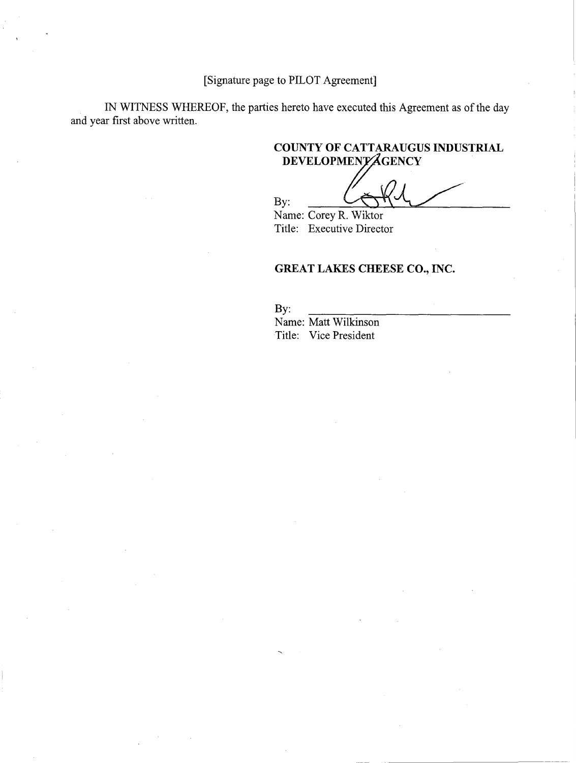[Signature page to PILOT Agreement]

IN WITNESS WHEREOF, the parties hereto have executed this Agreement as of the day and year first above written.

# COUNTY OF CATTARAUGUS INDUSTRIAL DEVELOPMENTAGENCY

By: Name: Corey R. Wiktor

Title: Executive Director

# GREAT LAKES CHEESE CO., INC.

By: Name: Matt Wilkinson Title: Vice President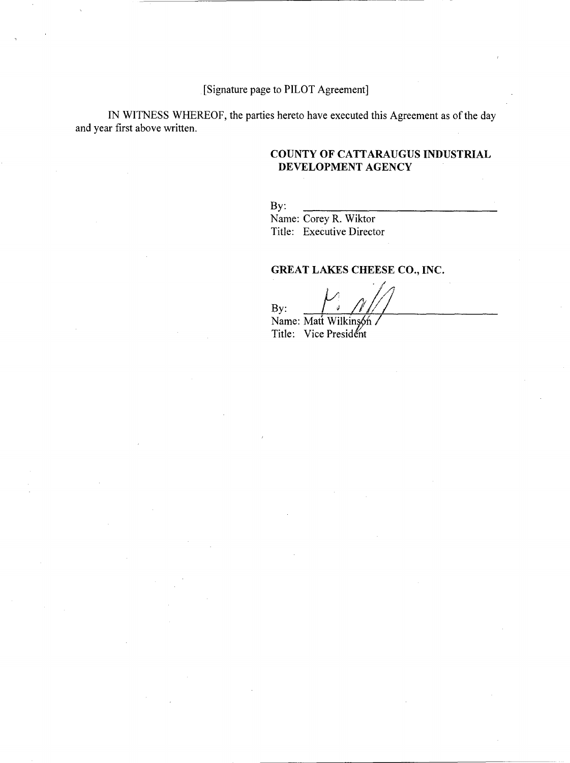[Signature page to PILOT Agreement]

IN WITNESS WHEREOF, the parties hereto have executed this Agreement as of the day and year first above written.

## COUNTY OF CATTARAUGUS INDUSTRIAL DEVELOPMENT AGENCY

By:

Name: Corey R. Wiktor Title: Executive Director

# GREAT LAKES CHEESE CO., INC.

By: Name: Matt Wilkinson Title: Vice President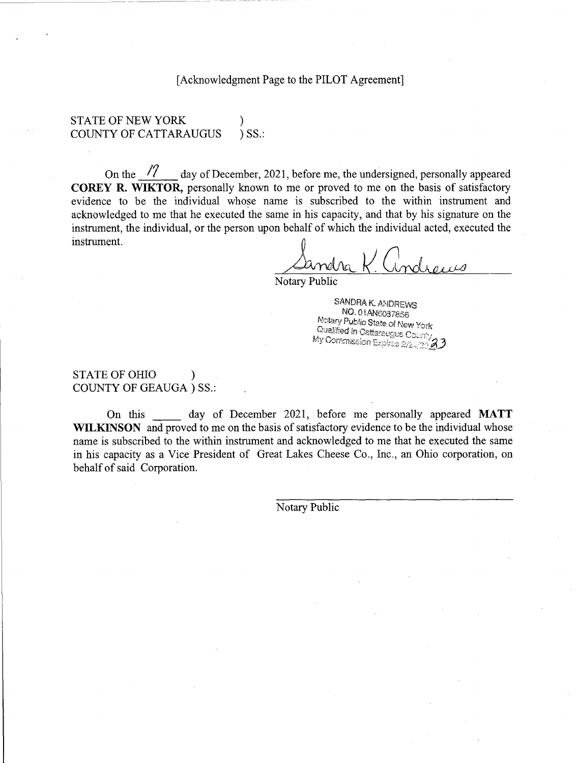[Acknowledgment Page to the PILOT Agreement]

STATE OF NEW YORK COUNTY OF CATTARAUGUS ) SS.:

On the  $\sqrt{7}$  day of December, 2021, before me, the undersigned, personally appeared COREY R. WIKTOR, personally known to me or proved to me on the basis of satisfactory evidence to be the individual whose name is subscribed to the within instrument and acknowledged to me that he executed the same in his capacity, and that by his signature on the instrument, the individual, or the person upon behalf of which the individual acted, executed the instrument.

 $\overline{0}$  . The  $\overline{0}$ 

Notary Public

SANDRA K. ANDREWS<br>NO. 01AN6087856 Notary Public State of New York<br>Qualified in Cattaraugus County<br>My Commission Expiras 2/2-425**23** 

STATE OF OHIO COUNTY OF GEAUGA ) SS.:

On this day of December 2021, before me personally appeared MATT WILKINSON and proved to me on the basis of satisfactory evidence to be the individual whose name is subscribed to the within instrument and acknowledged to me that he executed the same in his capacity as a Vice President of Great Lakes Cheese Co., Inc., an Ohio corporation, on behalf of said Corporation.

Notary Public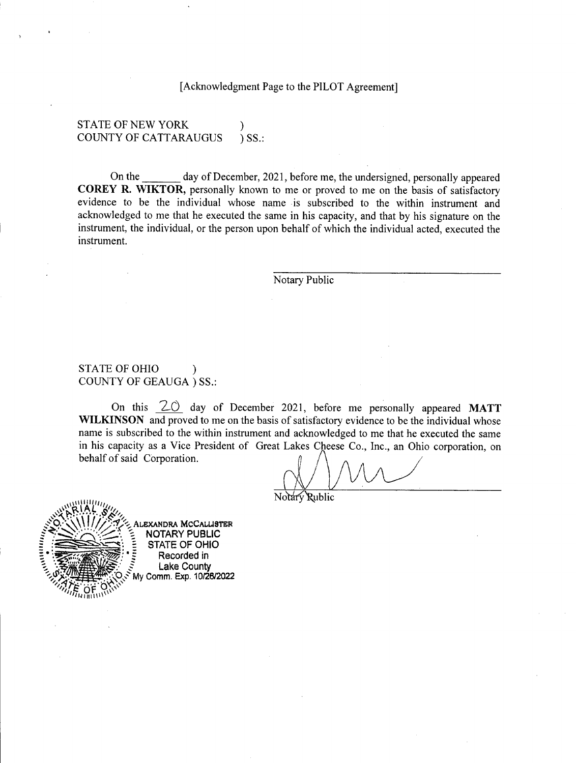[Acknowledgment Page to the PILOT Agreement]

## STATE OF NEW YORK COUNTY OF CATTARAUGUS ) SS.:

On the day of December, 2021, before me, the undersigned, personally appeared COREY R. WIKTOR, personally known to me or proved to me on the basis of satisfactory evidence to be the individual whose name is subscribed to the within instrument and acknowledged to me that he executed the same in his capacity, and that by his signature on the instrument, the individual, or the person upon behalf of which the individual acted, executed the instrument.

Notary Public

## STATE OF OHIO COUNTY OF GEAUGA ) SS.:

On this  $20$  day of December 2021, before me personally appeared MATT WILKINSON and proved to me on the basis of satisfactory evidence to be the individual whose name is subscribed to the within instrument and acknowledged to me that he executed the same in his capacity as a Vice President of Great Lakes Cheese Co., Inc., an Ohio corporation, on behalf of said Corporation.





49.::\V! !/. .1(/1".-,;\_ALEXANDRA MCCALL1STER NOTARY PUBLIC STATE OF OHIO Recorded in<br>Lake County My Comm. Exp. 10/26/2022